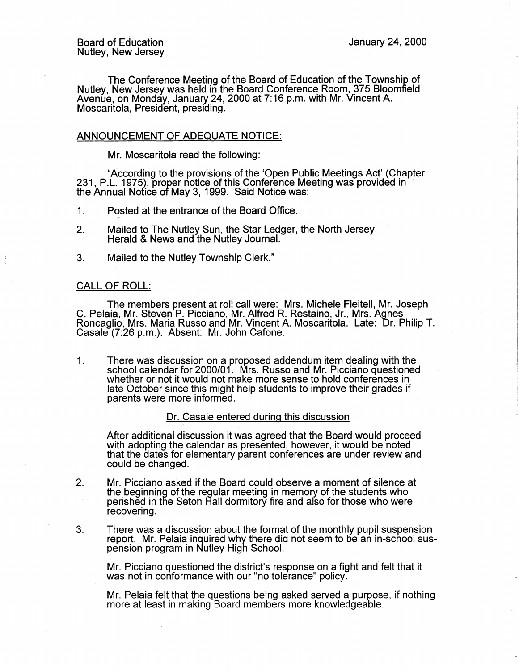The Conference Meeting of the Board of Education of the Township of Nutley, New Jersey was held in the Board Conference Room, 375 Bloomfield Avenue, on Monday, January 24, 2000 at 7:16 p.m. with Mr. Vincent A. Moscaritola, President, presiding.

# ANNOUNCEMENT OF ADEQUATE NOTICE:

Mr. Moscaritola read the following:

"According to the provisions of the 'Open Public Meetings Act' (Chapter 231, P.L. 1975}, proper notice of this Conference Meeting was provided in the Annual Notice of May 3, 1999. Said Notice was:

1. Posted at the entrance of the Board Office.

- 2. Mailed to The Nutley Sun, the Star Ledger, the North Jersey Herald & News and the Nutley Journal.
- 3. Mailed to the Nutley Township Clerk."

### CALL OF ROLL:

The members present at roll call were: Mrs. Michele Fleitell, Mr. Joseph C. Pelaia, Mr. Steven P. Picciano, Mr. Alfred R. Restaino, Jr., Mrs. Agnes Roncaglio, Mrs. Maria Russo and Mr. Vincent A. Moscaritola. Late: Dr. Philip T. Casale (7:26 p.m.). Absent: Mr. John Cafone.

1. There was discussion on a proposed addendum item dealing with the school calendar for 2000/01. Mrs. Russo and Mr. Picciano questioned whether or not it would not make more sense to hold conferences in late October since this might help students to improve their grades if parents were more informed.

# Dr. Casale entered during this discussion

After additional discussion it was agreed that the Board would proceed with adopting the calendar as presented, however, it would be noted that the dates for elementary parent conferences are under review and could be changed.

- 2. Mr. Picciano asked if the Board could observe a moment of silence at the beginning of the regular meeting in memory of the students who perished in tfle Seton Hall dormitory fire and afso for those who were recovering.
- 3. There was a discussion about the format of the monthly pupil suspension report. Mr. Pelaia inquired why there did not seem to be an in-school suspension program in Nutley High School.

Mr. Picciano questioned the district's response on a fight and felt that it was not in conformance with our "no tolerance" policy.

Mr. Pelaia felt that the questions being asked served a purpose, if nothing more at least in making Board members more knowledgeable.